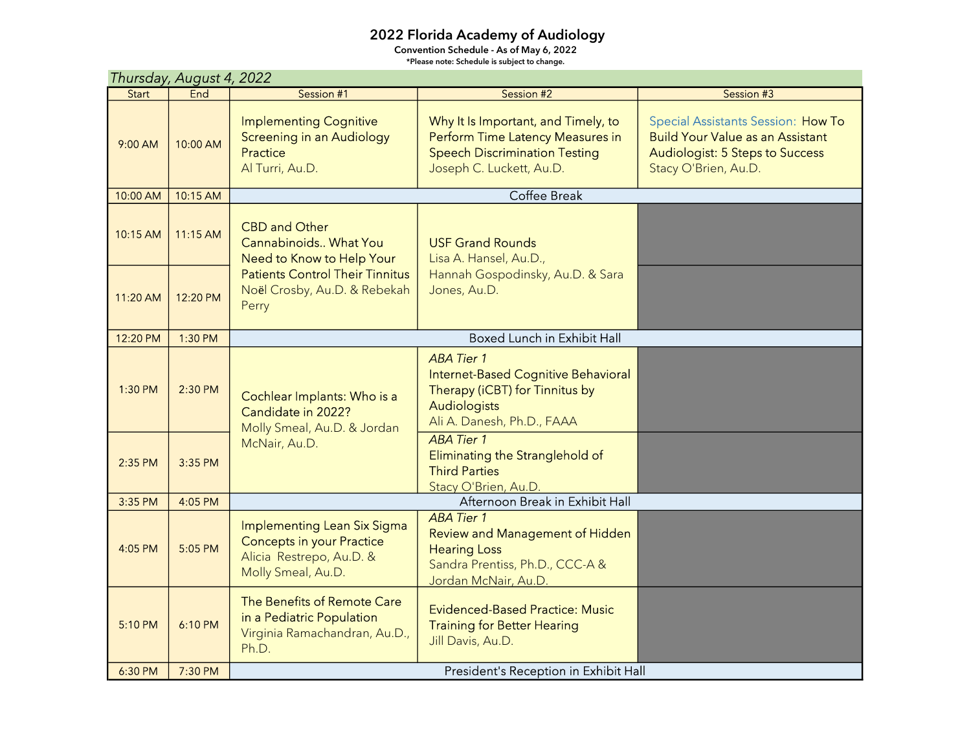## 2022 Florida Academy of Audiology

Convention Schedule - As of May 6, 2022 \*Please note: Schedule is subject to change.

| Thursday, August 4, 2022 |            |                                                                                                                   |                                                                                                                                             |                                                                                                                                          |  |
|--------------------------|------------|-------------------------------------------------------------------------------------------------------------------|---------------------------------------------------------------------------------------------------------------------------------------------|------------------------------------------------------------------------------------------------------------------------------------------|--|
| Start                    | End        | Session #1                                                                                                        | Session #2                                                                                                                                  | Session #3                                                                                                                               |  |
| 9:00 AM                  | 10:00 AM   | <b>Implementing Cognitive</b><br><b>Screening in an Audiology</b><br>Practice<br>Al Turri, Au.D.                  | Why It Is Important, and Timely, to<br>Perform Time Latency Measures in<br><b>Speech Discrimination Testing</b><br>Joseph C. Luckett, Au.D. | Special Assistants Session: How To<br><b>Build Your Value as an Assistant</b><br>Audiologist: 5 Steps to Success<br>Stacy O'Brien, Au.D. |  |
| 10:00 AM                 | 10:15 AM   |                                                                                                                   |                                                                                                                                             |                                                                                                                                          |  |
| 10:15 AM                 | $11:15$ AM | <b>CBD and Other</b><br>Cannabinoids What You<br>Need to Know to Help Your                                        | <b>USF Grand Rounds</b><br>Lisa A. Hansel, Au.D.,<br>Hannah Gospodinsky, Au.D. & Sara<br>Jones, Au.D.                                       |                                                                                                                                          |  |
| 11:20 AM                 | 12:20 PM   | <b>Patients Control Their Tinnitus</b><br>Noël Crosby, Au.D. & Rebekah<br>Perry                                   |                                                                                                                                             |                                                                                                                                          |  |
| 12:20 PM                 | 1:30 PM    |                                                                                                                   | <b>Boxed Lunch in Exhibit Hall</b>                                                                                                          |                                                                                                                                          |  |
| 1:30 PM                  | 2:30 PM    | Cochlear Implants: Who is a<br>Candidate in 2022?<br>Molly Smeal, Au.D. & Jordan<br>McNair, Au.D.                 | <b>ABA Tier 1</b><br>Internet-Based Cognitive Behavioral<br>Therapy (iCBT) for Tinnitus by<br>Audiologists<br>Ali A. Danesh, Ph.D., FAAA    |                                                                                                                                          |  |
| 2:35 PM                  | 3:35 PM    |                                                                                                                   | <b>ABA Tier 1</b><br>Eliminating the Stranglehold of<br><b>Third Parties</b><br>Stacy O'Brien, Au.D.                                        |                                                                                                                                          |  |
| 3:35 PM                  | 4:05 PM    |                                                                                                                   | Afternoon Break in Exhibit Hall                                                                                                             |                                                                                                                                          |  |
| 4:05 PM                  | 5:05 PM    | Implementing Lean Six Sigma<br><b>Concepts in your Practice</b><br>Alicia Restrepo, Au.D. &<br>Molly Smeal, Au.D. | <b>ABA Tier 1</b><br>Review and Management of Hidden<br><b>Hearing Loss</b><br>Sandra Prentiss, Ph.D., CCC-A &<br>Jordan McNair, Au.D.      |                                                                                                                                          |  |
| 5:10 PM                  | 6:10 PM    | The Benefits of Remote Care<br>in a Pediatric Population<br>Virginia Ramachandran, Au.D.,<br>Ph.D.                | <b>Evidenced-Based Practice: Music</b><br><b>Training for Better Hearing</b><br>Jill Davis, Au.D.                                           |                                                                                                                                          |  |
| 6:30 PM                  | 7:30 PM    | President's Reception in Exhibit Hall                                                                             |                                                                                                                                             |                                                                                                                                          |  |